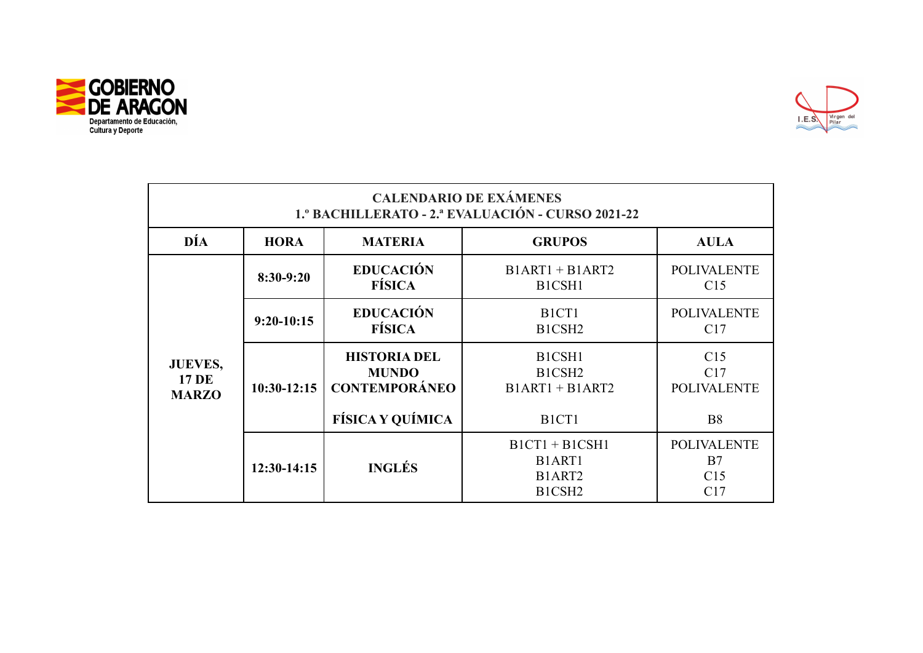



| <b>CALENDARIO DE EXÁMENES</b><br>1.º BACHILLERATO - 2.ª EVALUACIÓN - CURSO 2021-22 |               |                                                                                        |                                                                                      |                                               |  |
|------------------------------------------------------------------------------------|---------------|----------------------------------------------------------------------------------------|--------------------------------------------------------------------------------------|-----------------------------------------------|--|
| DÍA                                                                                | <b>HORA</b>   | <b>MATERIA</b>                                                                         | <b>GRUPOS</b>                                                                        | <b>AULA</b>                                   |  |
| <b>JUEVES,</b><br><b>17 DE</b><br><b>MARZO</b>                                     | 8:30-9:20     | <b>EDUCACIÓN</b><br><b>FÍSICA</b>                                                      | $B1ART1 + B1ART2$<br>B1CSH1                                                          | <b>POLIVALENTE</b><br>C15                     |  |
|                                                                                    | $9:20-10:15$  | <b>EDUCACIÓN</b><br><b>FÍSICA</b>                                                      | B <sub>1</sub> C <sub>T</sub> 1<br>B1CSH <sub>2</sub>                                | <b>POLIVALENTE</b><br>C17                     |  |
|                                                                                    | $10:30-12:15$ | <b>HISTORIA DEL</b><br><b>MUNDO</b><br><b>CONTEMPORÁNEO</b><br><b>FÍSICA Y QUÍMICA</b> | B1CSH1<br>B1CSH <sub>2</sub><br>$B1ART1 + B1ART2$<br>B <sub>1</sub> C <sub>T</sub> 1 | C15<br>C17<br><b>POLIVALENTE</b><br><b>B8</b> |  |
|                                                                                    | 12:30-14:15   | <b>INGLÉS</b>                                                                          | $B1CT1 + B1CSH1$<br>B1ART1<br>B1ART2<br>B1CSH <sub>2</sub>                           | <b>POLIVALENTE</b><br>B7<br>C15<br>C17        |  |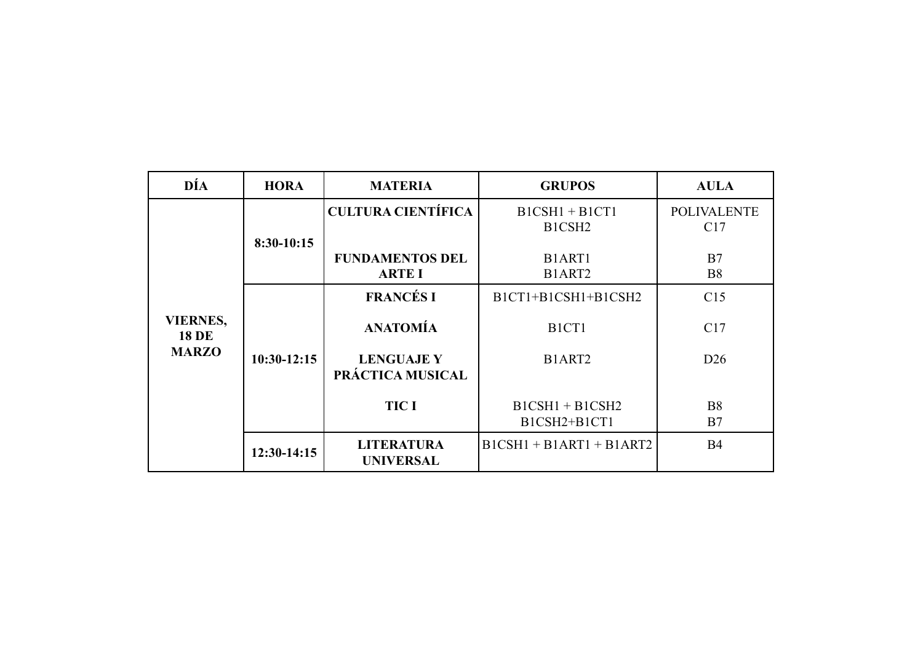| DÍA                                             | <b>HORA</b>   | <b>MATERIA</b>                          | <b>GRUPOS</b>                          | <b>AULA</b>               |
|-------------------------------------------------|---------------|-----------------------------------------|----------------------------------------|---------------------------|
|                                                 |               | <b>CULTURA CIENTÍFICA</b>               | $BICSH1 + BICT1$<br>B1CSH <sub>2</sub> | <b>POLIVALENTE</b><br>C17 |
|                                                 | 8:30-10:15    | <b>FUNDAMENTOS DEL</b><br><b>ARTE I</b> | B1ART1<br>B1ART <sub>2</sub>           | B7<br><b>B8</b>           |
|                                                 |               | <b>FRANCÉS I</b>                        | B1CT1+B1CSH1+B1CSH2                    | C15                       |
| <b>VIERNES,</b><br><b>18 DE</b><br><b>MARZO</b> | $10:30-12:15$ | <b>ANATOMÍA</b>                         | B <sub>1</sub> C <sub>T</sub> 1        | C17                       |
|                                                 |               | <b>LENGUAJE Y</b><br>PRÁCTICA MUSICAL   | B1ART2                                 | D26                       |
|                                                 |               | <b>TIC I</b>                            | $B1CSH1 + B1CSH2$<br>B1CSH2+B1CT1      | <b>B8</b><br>B7           |
|                                                 | $12:30-14:15$ | <b>LITERATURA</b><br><b>UNIVERSAL</b>   | $B1CSH1 + B1ART1 + B1ART2$             | <b>B4</b>                 |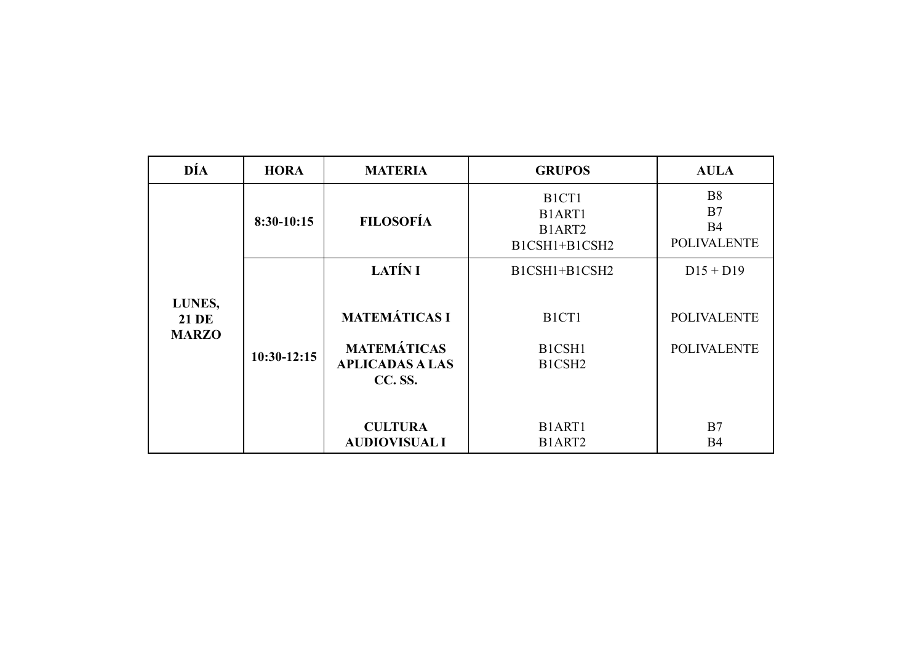| DÍA                                    | <b>HORA</b>   | <b>MATERIA</b>                                                                  | <b>GRUPOS</b>                                                        | <b>AULA</b>                                        |
|----------------------------------------|---------------|---------------------------------------------------------------------------------|----------------------------------------------------------------------|----------------------------------------------------|
|                                        | 8:30-10:15    | <b>FILOSOFÍA</b>                                                                | B <sub>1</sub> C <sub>T</sub> 1<br>B1ART1<br>B1ART2<br>B1CSH1+B1CSH2 | <b>B8</b><br>B7<br><b>B4</b><br><b>POLIVALENTE</b> |
|                                        |               | <b>LATÍN I</b>                                                                  | B1CSH1+B1CSH2                                                        | $D15 + D19$                                        |
| LUNES,<br><b>21 DE</b><br><b>MARZO</b> | $10:30-12:15$ | <b>MATEMÁTICAS I</b><br><b>MATEMÁTICAS</b><br><b>APLICADAS A LAS</b><br>CC. SS. | B <sub>1</sub> C <sub>T</sub> 1<br>B1CSH1<br>B1CSH <sub>2</sub>      | <b>POLIVALENTE</b><br><b>POLIVALENTE</b>           |
|                                        |               | <b>CULTURA</b><br><b>AUDIOVISUAL I</b>                                          | B1ART1<br>B1ART2                                                     | B7<br><b>B4</b>                                    |